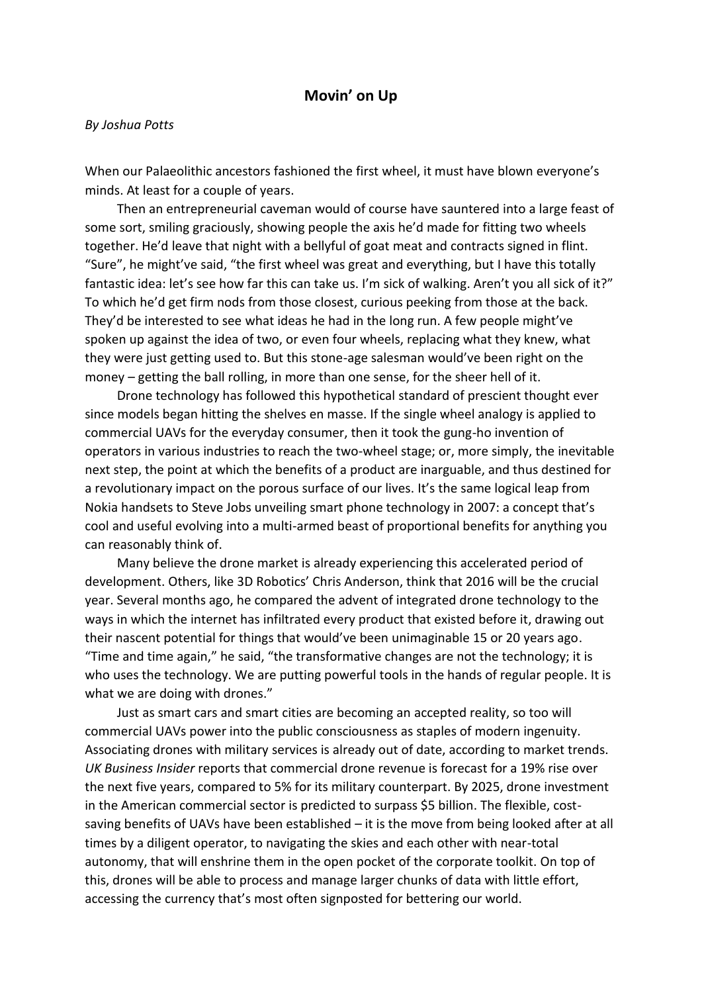## **Movin' on Up**

## *By Joshua Potts*

When our Palaeolithic ancestors fashioned the first wheel, it must have blown everyone's minds. At least for a couple of years.

 Then an entrepreneurial caveman would of course have sauntered into a large feast of some sort, smiling graciously, showing people the axis he'd made for fitting two wheels together. He'd leave that night with a bellyful of goat meat and contracts signed in flint. "Sure", he might've said, "the first wheel was great and everything, but I have this totally fantastic idea: let's see how far this can take us. I'm sick of walking. Aren't you all sick of it?" To which he'd get firm nods from those closest, curious peeking from those at the back. They'd be interested to see what ideas he had in the long run. A few people might've spoken up against the idea of two, or even four wheels, replacing what they knew, what they were just getting used to. But this stone-age salesman would've been right on the money – getting the ball rolling, in more than one sense, for the sheer hell of it.

 Drone technology has followed this hypothetical standard of prescient thought ever since models began hitting the shelves en masse. If the single wheel analogy is applied to commercial UAVs for the everyday consumer, then it took the gung-ho invention of operators in various industries to reach the two-wheel stage; or, more simply, the inevitable next step, the point at which the benefits of a product are inarguable, and thus destined for a revolutionary impact on the porous surface of our lives. It's the same logical leap from Nokia handsets to Steve Jobs unveiling smart phone technology in 2007: a concept that's cool and useful evolving into a multi-armed beast of proportional benefits for anything you can reasonably think of.

 Many believe the drone market is already experiencing this accelerated period of development. Others, like 3D Robotics' Chris Anderson, think that 2016 will be the crucial year. Several months ago, he compared the advent of integrated drone technology to the ways in which the internet has infiltrated every product that existed before it, drawing out their nascent potential for things that would've been unimaginable 15 or 20 years ago. "Time and time again," he said, "the transformative changes are not the technology; it is who uses the technology. We are putting powerful tools in the hands of regular people. It is what we are doing with drones."

 Just as smart cars and smart cities are becoming an accepted reality, so too will commercial UAVs power into the public consciousness as staples of modern ingenuity. Associating drones with military services is already out of date, according to market trends. *UK Business Insider* reports that commercial drone revenue is forecast for a 19% rise over the next five years, compared to 5% for its military counterpart. By 2025, drone investment in the American commercial sector is predicted to surpass \$5 billion. The flexible, costsaving benefits of UAVs have been established – it is the move from being looked after at all times by a diligent operator, to navigating the skies and each other with near-total autonomy, that will enshrine them in the open pocket of the corporate toolkit. On top of this, drones will be able to process and manage larger chunks of data with little effort, accessing the currency that's most often signposted for bettering our world.